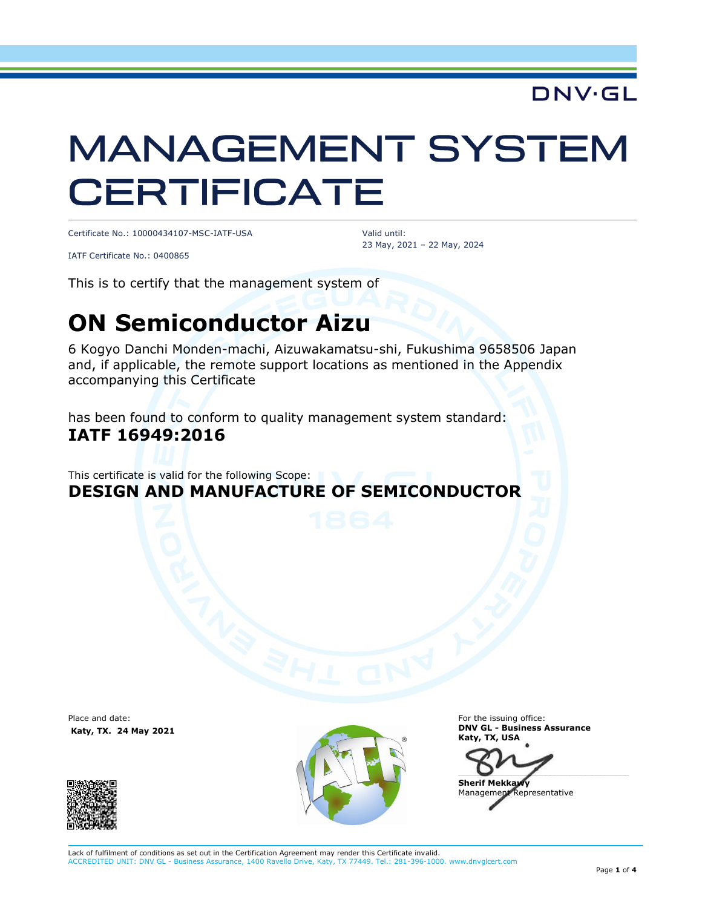## DNV·GL

# **MANAGEMENT SYSTEM CERTIFICATE**

Certificate No.: 10000434107-MSC-IATF-USA

Valid until: 23 May, 2021 – 22 May, 2024

IATF Certificate No.: 0400865

This is to certify that the management system of

## **ON Semiconductor Aizu**

6 Kogyo Danchi Monden-machi, Aizuwakamatsu-shi, Fukushima 9658506 Japan and, if applicable, the remote support locations as mentioned in the Appendix accompanying this Certificate

has been found to conform to quality management system standard: **IATF 16949:2016**

This certificate is valid for the following Scope: **DESIGN AND MANUFACTURE OF SEMICONDUCTOR**

Place and date: **Katy, TX. 24 May 2021**





For the issuing office: **DNV GL - Business Assurance Katy, TX, USA**

 $\blacksquare$ 

**Sherif Mekka** Management Representative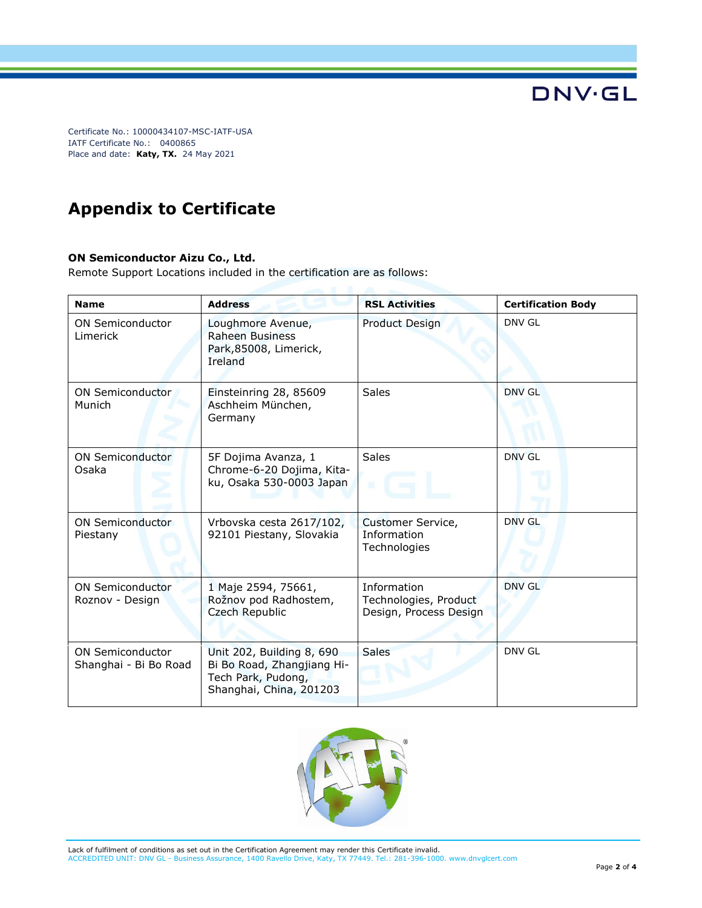Certificate No.: 10000434107-MSC-IATF-USA IATF Certificate No.: 0400865 Place and date: **Katy, TX.** 24 May 2021

## **Appendix to Certificate**

#### **ON Semiconductor Aizu Co., Ltd.**

Remote Support Locations included in the certification are as follows:

| <b>Name</b>                                      | <b>Address</b>                                                                                           | <b>RSL Activities</b>                                          | <b>Certification Body</b> |
|--------------------------------------------------|----------------------------------------------------------------------------------------------------------|----------------------------------------------------------------|---------------------------|
| <b>ON Semiconductor</b><br>Limerick              | Loughmore Avenue,<br><b>Raheen Business</b><br>Park,85008, Limerick,<br>Ireland                          | Product Design                                                 | DNV GL                    |
| ON Semiconductor<br>Munich                       | Einsteinring 28, 85609<br>Aschheim München,<br>Germany                                                   | <b>Sales</b>                                                   | DNV GL                    |
| <b>ON Semiconductor</b><br>Osaka                 | 5F Dojima Avanza, 1<br>Chrome-6-20 Dojima, Kita-<br>ku, Osaka 530-0003 Japan                             | <b>Sales</b><br>10                                             | DNV GL                    |
| <b>ON Semiconductor</b><br>Piestany              | Vrbovska cesta 2617/102,<br>92101 Piestany, Slovakia                                                     | Customer Service,<br>Information<br>Technologies               | <b>DNV GL</b>             |
| <b>ON Semiconductor</b><br>Roznov - Design       | 1 Maje 2594, 75661,<br>Rožnov pod Radhostem,<br>Czech Republic                                           | Information<br>Technologies, Product<br>Design, Process Design | DNV GL                    |
| <b>ON Semiconductor</b><br>Shanghai - Bi Bo Road | Unit 202, Building 8, 690<br>Bi Bo Road, Zhangjiang Hi-<br>Tech Park, Pudong,<br>Shanghai, China, 201203 | <b>Sales</b>                                                   | DNV GL                    |



**DNV·GL**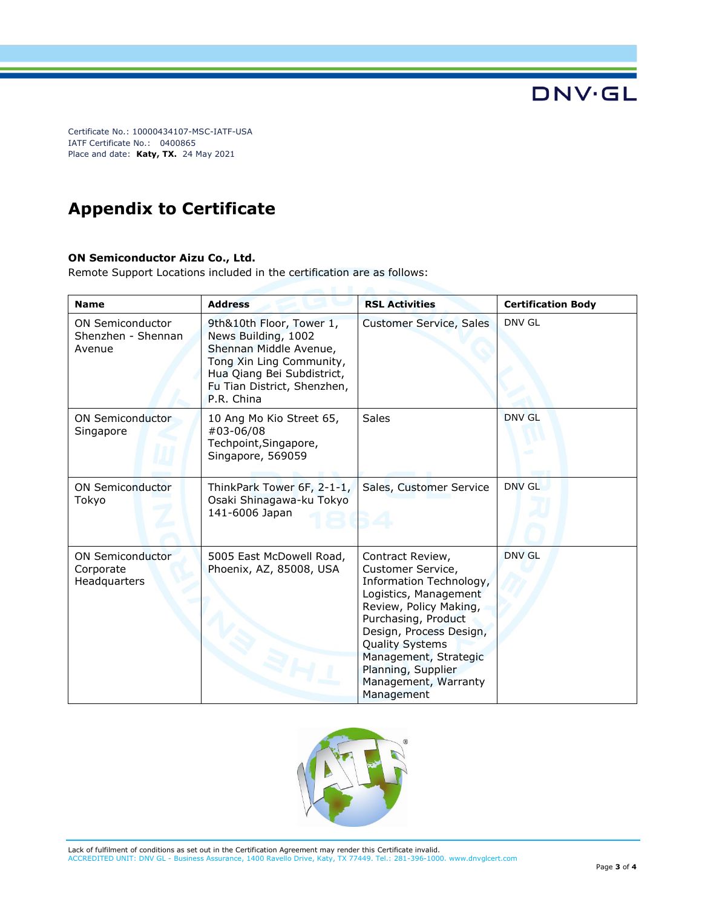Certificate No.: 10000434107-MSC-IATF-USA IATF Certificate No.: 0400865 Place and date: **Katy, TX.** 24 May 2021

## **Appendix to Certificate**

#### **ON Semiconductor Aizu Co., Ltd.**

Remote Support Locations included in the certification are as follows:

| <b>Name</b>                                             | <b>Address</b>                                                                                                                                                                   | <b>RSL Activities</b>                                                                                                                                                                                                                                                                | <b>Certification Body</b> |
|---------------------------------------------------------|----------------------------------------------------------------------------------------------------------------------------------------------------------------------------------|--------------------------------------------------------------------------------------------------------------------------------------------------------------------------------------------------------------------------------------------------------------------------------------|---------------------------|
| <b>ON Semiconductor</b><br>Shenzhen - Shennan<br>Avenue | 9th&10th Floor, Tower 1,<br>News Building, 1002<br>Shennan Middle Avenue,<br>Tong Xin Ling Community,<br>Hua Qiang Bei Subdistrict,<br>Fu Tian District, Shenzhen,<br>P.R. China | Customer Service, Sales                                                                                                                                                                                                                                                              | DNV GL                    |
| <b>ON Semiconductor</b><br>Singapore                    | 10 Ang Mo Kio Street 65,<br>#03-06/08<br>Techpoint, Singapore,<br>Singapore, 569059                                                                                              | Sales                                                                                                                                                                                                                                                                                | <b>DNV GL</b>             |
| <b>ON Semiconductor</b><br>Tokyo                        | ThinkPark Tower 6F, 2-1-1,<br>Osaki Shinagawa-ku Tokyo<br>141-6006 Japan                                                                                                         | Sales, Customer Service                                                                                                                                                                                                                                                              | DNV GL                    |
| <b>ON Semiconductor</b><br>Corporate<br>Headquarters    | 5005 East McDowell Road,<br>Phoenix, AZ, 85008, USA                                                                                                                              | Contract Review,<br>Customer Service,<br>Information Technology,<br>Logistics, Management<br>Review, Policy Making,<br>Purchasing, Product<br>Design, Process Design,<br><b>Quality Systems</b><br>Management, Strategic<br>Planning, Supplier<br>Management, Warranty<br>Management | <b>DNV GL</b>             |



**DNV·GL**